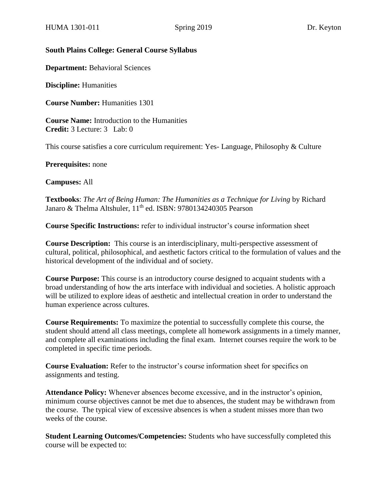#### **South Plains College: General Course Syllabus**

**Department:** Behavioral Sciences

**Discipline:** Humanities

**Course Number:** Humanities 1301

**Course Name:** Introduction to the Humanities **Credit:** 3 Lecture: 3 Lab: 0

This course satisfies a core curriculum requirement: Yes- Language, Philosophy & Culture

**Prerequisites:** none

**Campuses:** All

**Textbooks**: *The Art of Being Human: The Humanities as a Technique for Living* by Richard Janaro & Thelma Altshuler, 11<sup>th</sup> ed. ISBN: 9780134240305 Pearson

**Course Specific Instructions:** refer to individual instructor's course information sheet

**Course Description:** This course is an interdisciplinary, multi-perspective assessment of cultural, political, philosophical, and aesthetic factors critical to the formulation of values and the historical development of the individual and of society.

**Course Purpose:** This course is an introductory course designed to acquaint students with a broad understanding of how the arts interface with individual and societies. A holistic approach will be utilized to explore ideas of aesthetic and intellectual creation in order to understand the human experience across cultures.

**Course Requirements:** To maximize the potential to successfully complete this course, the student should attend all class meetings, complete all homework assignments in a timely manner, and complete all examinations including the final exam. Internet courses require the work to be completed in specific time periods.

**Course Evaluation:** Refer to the instructor's course information sheet for specifics on assignments and testing.

**Attendance Policy:** Whenever absences become excessive, and in the instructor's opinion, minimum course objectives cannot be met due to absences, the student may be withdrawn from the course. The typical view of excessive absences is when a student misses more than two weeks of the course.

**Student Learning Outcomes/Competencies:** Students who have successfully completed this course will be expected to: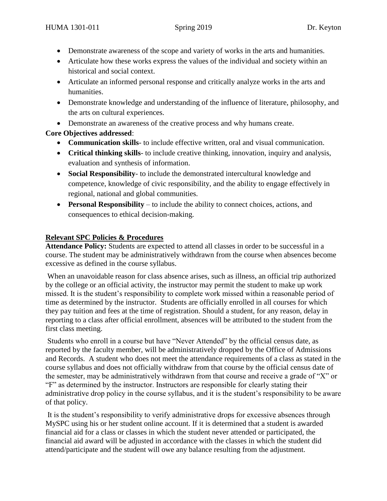- Demonstrate awareness of the scope and variety of works in the arts and humanities.
- Articulate how these works express the values of the individual and society within an historical and social context.
- Articulate an informed personal response and critically analyze works in the arts and humanities.
- Demonstrate knowledge and understanding of the influence of literature, philosophy, and the arts on cultural experiences.
- Demonstrate an awareness of the creative process and why humans create.

# **Core Objectives addressed**:

- **Communication skills** to include effective written, oral and visual communication.
- **Critical thinking skills** to include creative thinking, innovation, inquiry and analysis, evaluation and synthesis of information.
- **Social Responsibility** to include the demonstrated intercultural knowledge and competence, knowledge of civic responsibility, and the ability to engage effectively in regional, national and global communities.
- **Personal Responsibility**  to include the ability to connect choices, actions, and consequences to ethical decision-making.

# **Relevant SPC Policies & Procedures**

**Attendance Policy:** Students are expected to attend all classes in order to be successful in a course. The student may be administratively withdrawn from the course when absences become excessive as defined in the course syllabus.

When an unavoidable reason for class absence arises, such as illness, an official trip authorized by the college or an official activity, the instructor may permit the student to make up work missed. It is the student's responsibility to complete work missed within a reasonable period of time as determined by the instructor. Students are officially enrolled in all courses for which they pay tuition and fees at the time of registration. Should a student, for any reason, delay in reporting to a class after official enrollment, absences will be attributed to the student from the first class meeting.

Students who enroll in a course but have "Never Attended" by the official census date, as reported by the faculty member, will be administratively dropped by the Office of Admissions and Records. A student who does not meet the attendance requirements of a class as stated in the course syllabus and does not officially withdraw from that course by the official census date of the semester, may be administratively withdrawn from that course and receive a grade of "X" or "F" as determined by the instructor. Instructors are responsible for clearly stating their administrative drop policy in the course syllabus, and it is the student's responsibility to be aware of that policy.

It is the student's responsibility to verify administrative drops for excessive absences through MySPC using his or her student online account. If it is determined that a student is awarded financial aid for a class or classes in which the student never attended or participated, the financial aid award will be adjusted in accordance with the classes in which the student did attend/participate and the student will owe any balance resulting from the adjustment.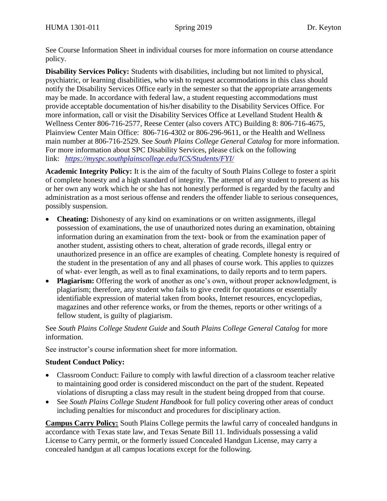See Course Information Sheet in individual courses for more information on course attendance policy.

**Disability Services Policy:** Students with disabilities, including but not limited to physical, psychiatric, or learning disabilities, who wish to request accommodations in this class should notify the Disability Services Office early in the semester so that the appropriate arrangements may be made. In accordance with federal law, a student requesting accommodations must provide acceptable documentation of his/her disability to the Disability Services Office. For more information, call or visit the Disability Services Office at Levelland Student Health & Wellness Center 806-716-2577, Reese Center (also covers ATC) Building 8: 806-716-4675, Plainview Center Main Office: 806-716-4302 or 806-296-9611, or the Health and Wellness main number at 806-716-2529. See *South Plains College General Catalog* for more information. For more information about SPC Disability Services, please click on the following link: *<https://myspc.southplainscollege.edu/ICS/Students/FYI/>*

**Academic Integrity Policy:** It is the aim of the faculty of South Plains College to foster a spirit of complete honesty and a high standard of integrity. The attempt of any student to present as his or her own any work which he or she has not honestly performed is regarded by the faculty and administration as a most serious offense and renders the offender liable to serious consequences, possibly suspension.

- **Cheating:** Dishonesty of any kind on examinations or on written assignments, illegal possession of examinations, the use of unauthorized notes during an examination, obtaining information during an examination from the text- book or from the examination paper of another student, assisting others to cheat, alteration of grade records, illegal entry or unauthorized presence in an office are examples of cheating. Complete honesty is required of the student in the presentation of any and all phases of course work. This applies to quizzes of what- ever length, as well as to final examinations, to daily reports and to term papers.
- **Plagiarism:** Offering the work of another as one's own, without proper acknowledgment, is plagiarism; therefore, any student who fails to give credit for quotations or essentially identifiable expression of material taken from books, Internet resources, encyclopedias, magazines and other reference works, or from the themes, reports or other writings of a fellow student, is guilty of plagiarism.

See *South Plains College Student Guide* and *South Plains College General Catalog* for more information.

See instructor's course information sheet for more information.

## **Student Conduct Policy:**

- Classroom Conduct: Failure to comply with lawful direction of a classroom teacher relative to maintaining good order is considered misconduct on the part of the student. Repeated violations of disrupting a class may result in the student being dropped from that course.
- See *South Plains College Student Handbook* for full policy covering other areas of conduct including penalties for misconduct and procedures for disciplinary action.

**Campus Carry Policy:** South Plains College permits the lawful carry of concealed handguns in accordance with Texas state law, and Texas Senate Bill 11. Individuals possessing a valid License to Carry permit, or the formerly issued Concealed Handgun License, may carry a concealed handgun at all campus locations except for the following.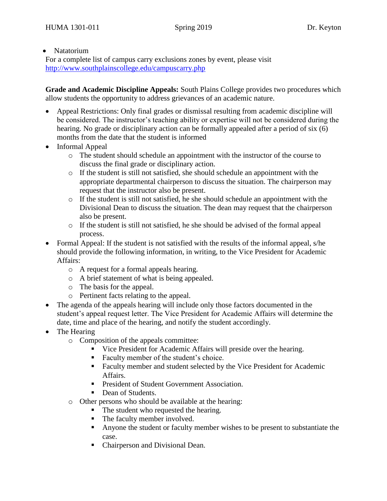#### • Natatorium

For a complete list of campus carry exclusions zones by event, please visit <http://www.southplainscollege.edu/campuscarry.php>

**Grade and Academic Discipline Appeals:** South Plains College provides two procedures which allow students the opportunity to address grievances of an academic nature.

- Appeal Restrictions: Only final grades or dismissal resulting from academic discipline will be considered. The instructor's teaching ability or expertise will not be considered during the hearing. No grade or disciplinary action can be formally appealed after a period of six (6) months from the date that the student is informed
- Informal Appeal
	- o The student should schedule an appointment with the instructor of the course to discuss the final grade or disciplinary action.
	- $\circ$  If the student is still not satisfied, she should schedule an appointment with the appropriate departmental chairperson to discuss the situation. The chairperson may request that the instructor also be present.
	- $\circ$  If the student is still not satisfied, he she should schedule an appointment with the Divisional Dean to discuss the situation. The dean may request that the chairperson also be present.
	- $\circ$  If the student is still not satisfied, he should be advised of the formal appeal process.
- Formal Appeal: If the student is not satisfied with the results of the informal appeal, s/he should provide the following information, in writing, to the Vice President for Academic Affairs:
	- o A request for a formal appeals hearing.
	- o A brief statement of what is being appealed.
	- o The basis for the appeal.
	- o Pertinent facts relating to the appeal.
- The agenda of the appeals hearing will include only those factors documented in the student's appeal request letter. The Vice President for Academic Affairs will determine the date, time and place of the hearing, and notify the student accordingly.
- The Hearing
	- o Composition of the appeals committee:
		- Vice President for Academic Affairs will preside over the hearing.
		- Faculty member of the student's choice.
		- Faculty member and student selected by the Vice President for Academic Affairs.
		- President of Student Government Association.
		- Dean of Students.
	- o Other persons who should be available at the hearing:
		- The student who requested the hearing.
		- The faculty member involved.
		- Anyone the student or faculty member wishes to be present to substantiate the case.
		- Chairperson and Divisional Dean.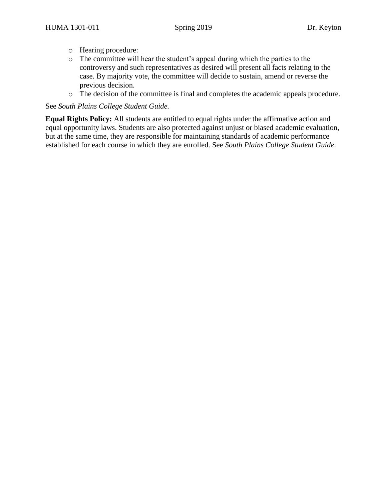- o Hearing procedure:
- o The committee will hear the student's appeal during which the parties to the controversy and such representatives as desired will present all facts relating to the case. By majority vote, the committee will decide to sustain, amend or reverse the previous decision.
- o The decision of the committee is final and completes the academic appeals procedure.

See *South Plains College Student Guide.*

**Equal Rights Policy:** All students are entitled to equal rights under the affirmative action and equal opportunity laws. Students are also protected against unjust or biased academic evaluation, but at the same time, they are responsible for maintaining standards of academic performance established for each course in which they are enrolled. See *South Plains College Student Guide*.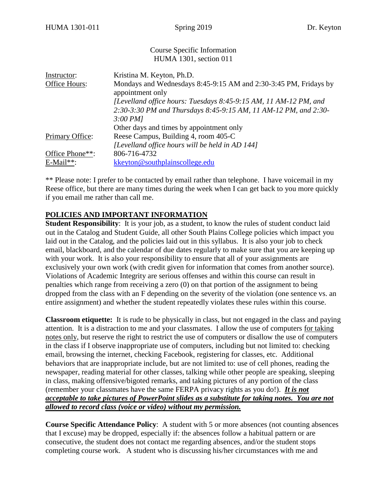#### Course Specific Information HUMA 1301, section 011

| Instructor:        | Kristina M. Keyton, Ph.D.                                                            |  |
|--------------------|--------------------------------------------------------------------------------------|--|
| Office Hours:      | Mondays and Wednesdays 8:45-9:15 AM and 2:30-3:45 PM, Fridays by<br>appointment only |  |
|                    | [Levelland office hours: Tuesdays 8:45-9:15 AM, 11 AM-12 PM, and                     |  |
|                    | 2:30-3:30 PM and Thursdays 8:45-9:15 AM, 11 AM-12 PM, and 2:30-                      |  |
|                    | 3:00 PM                                                                              |  |
|                    | Other days and times by appointment only                                             |  |
| Primary Office:    | Reese Campus, Building 4, room 405-C                                                 |  |
|                    | [Levelland office hours will be held in AD 144]                                      |  |
| Office Phone**:    | 806-716-4732                                                                         |  |
| $E\text{-Mail**}:$ | kkeyton@southplainscollege.edu                                                       |  |

\*\* Please note: I prefer to be contacted by email rather than telephone. I have voicemail in my Reese office, but there are many times during the week when I can get back to you more quickly if you email me rather than call me.

#### **POLICIES AND IMPORTANT INFORMATION**

**Student Responsibility**: It is your job, as a student, to know the rules of student conduct laid out in the Catalog and Student Guide, all other South Plains College policies which impact you laid out in the Catalog, and the policies laid out in this syllabus. It is also your job to check email, blackboard, and the calendar of due dates regularly to make sure that you are keeping up with your work. It is also your responsibility to ensure that all of your assignments are exclusively your own work (with credit given for information that comes from another source). Violations of Academic Integrity are serious offenses and within this course can result in penalties which range from receiving a zero (0) on that portion of the assignment to being dropped from the class with an F depending on the severity of the violation (one sentence vs. an entire assignment) and whether the student repeatedly violates these rules within this course.

**Classroom etiquette:** It is rude to be physically in class, but not engaged in the class and paying attention. It is a distraction to me and your classmates. I allow the use of computers for taking notes only, but reserve the right to restrict the use of computers or disallow the use of computers in the class if I observe inappropriate use of computers, including but not limited to: checking email, browsing the internet, checking Facebook, registering for classes, etc. Additional behaviors that are inappropriate include, but are not limited to: use of cell phones, reading the newspaper, reading material for other classes, talking while other people are speaking, sleeping in class, making offensive/bigoted remarks, and taking pictures of any portion of the class (remember your classmates have the same FERPA privacy rights as you do!). *It is not acceptable to take pictures of PowerPoint slides as a substitute for taking notes. You are not allowed to record class (voice or video) without my permission.* 

**Course Specific Attendance Policy**: A student with 5 or more absences (not counting absences that I excuse) may be dropped, especially if: the absences follow a habitual pattern or are consecutive, the student does not contact me regarding absences, and/or the student stops completing course work. A student who is discussing his/her circumstances with me and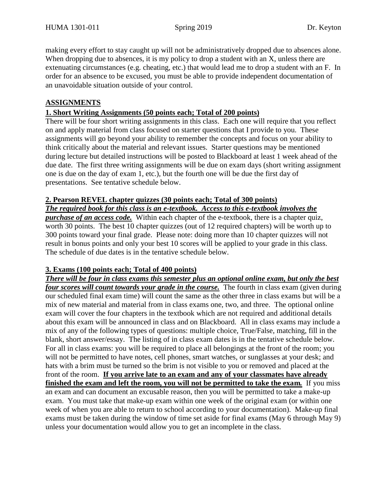making every effort to stay caught up will not be administratively dropped due to absences alone. When dropping due to absences, it is my policy to drop a student with an X, unless there are extenuating circumstances (e.g. cheating, etc.) that would lead me to drop a student with an F. In order for an absence to be excused, you must be able to provide independent documentation of an unavoidable situation outside of your control.

## **ASSIGNMENTS**

#### **1. Short Writing Assignments (50 points each; Total of 200 points)**

There will be four short writing assignments in this class. Each one will require that you reflect on and apply material from class focused on starter questions that I provide to you. These assignments will go beyond your ability to remember the concepts and focus on your ability to think critically about the material and relevant issues. Starter questions may be mentioned during lecture but detailed instructions will be posted to Blackboard at least 1 week ahead of the due date. The first three writing assignments will be due on exam days (short writing assignment one is due on the day of exam 1, etc.), but the fourth one will be due the first day of presentations. See tentative schedule below.

## **2. Pearson REVEL chapter quizzes (30 points each; Total of 300 points)**

*The required book for this class is an e-textbook. Access to this e-textbook involves the purchase of an access code.* Within each chapter of the e-textbook, there is a chapter quiz, worth 30 points. The best 10 chapter quizzes (out of 12 required chapters) will be worth up to 300 points toward your final grade. Please note: doing more than 10 chapter quizzes will not result in bonus points and only your best 10 scores will be applied to your grade in this class. The schedule of due dates is in the tentative schedule below.

## **3. Exams (100 points each; Total of 400 points)**

*There will be four in class exams this semester plus an optional online exam, but only the best four scores will count towards your grade in the course.* The fourth in class exam (given during our scheduled final exam time) will count the same as the other three in class exams but will be a mix of new material and material from in class exams one, two, and three. The optional online exam will cover the four chapters in the textbook which are not required and additional details about this exam will be announced in class and on Blackboard. All in class exams may include a mix of any of the following types of questions: multiple choice, True/False, matching, fill in the blank, short answer/essay. The listing of in class exam dates is in the tentative schedule below. For all in class exams: you will be required to place all belongings at the front of the room; you will not be permitted to have notes, cell phones, smart watches, or sunglasses at your desk; and hats with a brim must be turned so the brim is not visible to you or removed and placed at the front of the room. **If you arrive late to an exam and any of your classmates have already finished the exam and left the room, you will not be permitted to take the exam***.* If you miss an exam and can document an excusable reason, then you will be permitted to take a make-up exam. You must take that make-up exam within one week of the original exam (or within one week of when you are able to return to school according to your documentation). Make-up final exams must be taken during the window of time set aside for final exams (May 6 through May 9) unless your documentation would allow you to get an incomplete in the class.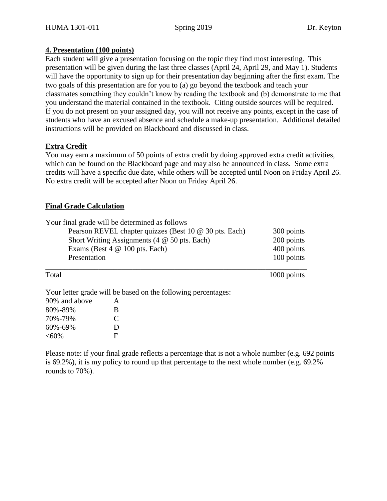#### **4. Presentation (100 points)**

Each student will give a presentation focusing on the topic they find most interesting. This presentation will be given during the last three classes (April 24, April 29, and May 1). Students will have the opportunity to sign up for their presentation day beginning after the first exam. The two goals of this presentation are for you to (a) go beyond the textbook and teach your classmates something they couldn't know by reading the textbook and (b) demonstrate to me that you understand the material contained in the textbook. Citing outside sources will be required. If you do not present on your assigned day, you will not receive any points, except in the case of students who have an excused absence and schedule a make-up presentation. Additional detailed instructions will be provided on Blackboard and discussed in class.

## **Extra Credit**

You may earn a maximum of 50 points of extra credit by doing approved extra credit activities, which can be found on the Blackboard page and may also be announced in class. Some extra credits will have a specific due date, while others will be accepted until Noon on Friday April 26. No extra credit will be accepted after Noon on Friday April 26.

#### **Final Grade Calculation**

 $<$ 60% F

| Presentation  | Your final grade will be determined as follows<br>Pearson REVEL chapter quizzes (Best 10 @ 30 pts. Each)<br>Short Writing Assignments $(4 \otimes 50 \text{ pts.}$ Each)<br>Exams (Best $4 \otimes 100$ pts. Each) | 300 points<br>200 points<br>400 points<br>100 points |
|---------------|--------------------------------------------------------------------------------------------------------------------------------------------------------------------------------------------------------------------|------------------------------------------------------|
| Total         |                                                                                                                                                                                                                    | 1000 points                                          |
|               | Your letter grade will be based on the following percentages:                                                                                                                                                      |                                                      |
| 90% and above | $\mathsf{A}$                                                                                                                                                                                                       |                                                      |
| 80%-89%       | B                                                                                                                                                                                                                  |                                                      |
| 70%-79%       | $\mathcal{C}_{\mathcal{C}}$                                                                                                                                                                                        |                                                      |
| 60%-69%       | D                                                                                                                                                                                                                  |                                                      |

Please note: if your final grade reflects a percentage that is not a whole number (e.g. 692 points is 69.2%), it is my policy to round up that percentage to the next whole number (e.g. 69.2% rounds to 70%).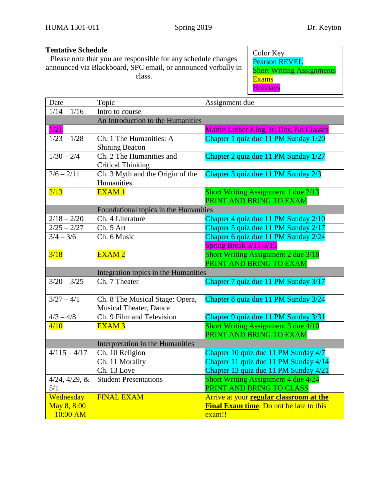# **Tentative Schedule**

Please note that you are responsible for any schedule changes announced via Blackboard, SPC email, or announced verbally in class.

Color Key Pearson REVEL **Short Writing Assignments** Exams Holidays

| Date                                    | Topic                                                            | Assignment due                                                                                                         |  |  |
|-----------------------------------------|------------------------------------------------------------------|------------------------------------------------------------------------------------------------------------------------|--|--|
| $1/14 - 1/16$                           | Intro to course                                                  |                                                                                                                        |  |  |
|                                         | An Introduction to the Humanities                                |                                                                                                                        |  |  |
| 1/21                                    |                                                                  | Martin Luther King, Jr. Day, No Classes                                                                                |  |  |
| $\frac{1}{23} - \frac{1}{28}$           | Ch. 1 The Humanities: A<br><b>Shining Beacon</b>                 | Chapter 1 quiz due 11 PM Sunday 1/20                                                                                   |  |  |
| $1/30 - 2/4$                            | Ch. 2 The Humanities and<br><b>Critical Thinking</b>             | Chapter 2 quiz due 11 PM Sunday 1/27                                                                                   |  |  |
| $2/6 - 2/11$                            | Ch. 3 Myth and the Origin of the<br>Humanities                   | Chapter 3 quiz due 11 PM Sunday 2/3                                                                                    |  |  |
| 2/13                                    | <b>EXAM1</b>                                                     | Short Writing Assignment 1 due 2/13<br>PRINT AND BRING TO EXAM                                                         |  |  |
|                                         | Foundational topics in the Humanities                            |                                                                                                                        |  |  |
| $2/18 - 2/20$                           | Ch. 4 Literature                                                 | Chapter 4 quiz due 11 PM Sunday 2/10                                                                                   |  |  |
| $2/25 - 2/27$                           | Ch. 5 Art                                                        | Chapter 5 quiz due 11 PM Sunday 2/17                                                                                   |  |  |
| $3/4 - 3/6$                             | Ch. 6 Music                                                      | Chapter 6 quiz due 11 PM Sunday 2/24<br>Spring Break 3/11-3/15                                                         |  |  |
| 3/18                                    | <b>EXAM2</b>                                                     | <b>Short Writing Assignment 2 due 3/18</b><br>PRINT AND BRING TO EXAM                                                  |  |  |
|                                         | Integration topics in the Humanities                             |                                                                                                                        |  |  |
| $3/20 - 3/25$                           | Ch. 7 Theater                                                    | Chapter 7 quiz due 11 PM Sunday 3/17                                                                                   |  |  |
| $3/27 - 4/1$                            | Ch. 8 The Musical Stage: Opera,<br><b>Musical Theater, Dance</b> | Chapter 8 quiz due 11 PM Sunday 3/24                                                                                   |  |  |
| $4/3 - 4/8$                             | Ch. 9 Film and Television                                        | Chapter 9 quiz due 11 PM Sunday 3/31                                                                                   |  |  |
| 4/10                                    | <b>EXAM3</b>                                                     | Short Writing Assignment 3 due 4/10<br>PRINT AND BRING TO EXAM                                                         |  |  |
|                                         | Interpretation in the Humanities                                 |                                                                                                                        |  |  |
| $4/115 - 4/17$                          | Ch. 10 Religion<br>Ch. 11 Morality<br>Ch. 13 Love                | Chapter 10 quiz due 11 PM Sunday 4/7<br>Chapter 11 quiz due 11 PM Sunday 4/14<br>Chapter 13 quiz due 11 PM Sunday 4/21 |  |  |
| $4/24, 4/29, \&$<br>5/1                 | <b>Student Presentations</b>                                     | Short Writing Assignment 4 due 4/24<br>PRINT AND BRING TO CLASS                                                        |  |  |
| Wednesday<br>May 8, 8:00<br>$-10:00 AM$ | <b>FINAL EXAM</b>                                                | Arrive at your regular classroom at the<br>Final Exam time. Do not be late to this<br>exam!!                           |  |  |